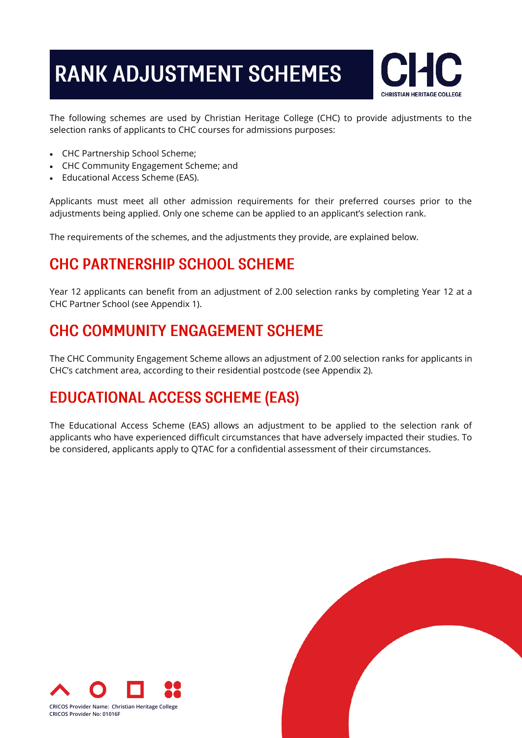# **RANK ADJUSTMENT SCHEMES**



The following schemes are used by Christian Heritage College (CHC) to provide adjustments to the selection ranks of applicants to CHC courses for admissions purposes:

- CHC Partnership School Scheme;
- CHC Community Engagement Scheme; and
- Educational Access Scheme (EAS).

Applicants must meet all other admission requirements for their preferred courses prior to the adjustments being applied. Only one scheme can be applied to an applicant's selection rank.

The requirements of the schemes, and the adjustments they provide, are explained below.

### **CHC PARTNERSHIP SCHOOL SCHEME**

Year 12 applicants can benefit from an adjustment of 2.00 selection ranks by completing Year 12 at a CHC Partner School (see Appendix 1).

### **CHC COMMUNITY ENGAGEMENT SCHEME**

The CHC Community Engagement Scheme allows an adjustment of 2.00 selection ranks for applicants in CHC's catchment area, according to their residential postcode (see Appendix 2).

### **EDUCATIONAL ACCESS SCHEME (EAS)**

The Educational Access Scheme (EAS) allows an adjustment to be applied to the selection rank of applicants who have experienced difficult circumstances that have adversely impacted their studies. To be considered, applicants apply to QTAC for a confidential assessment of their circumstances.



**CRICOS Provider Name: Christian Heritage College CRICOS Provider No: 01016F**

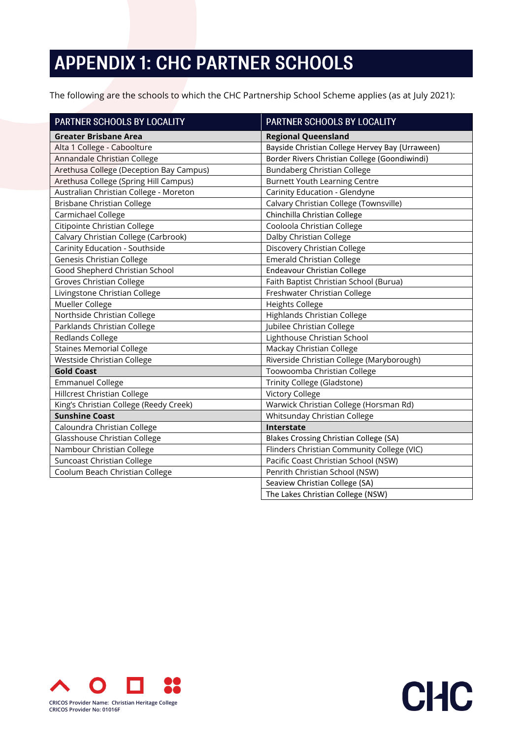## **APPENDIX 1: CHC PARTNER SCHOOLS**

The following are the schools to which the CHC Partnership School Scheme applies (as at July 2021):

| PARTNER SCHOOLS BY LOCALITY             | PARTNER SCHOOLS BY LOCALITY                     |
|-----------------------------------------|-------------------------------------------------|
| <b>Greater Brisbane Area</b>            | <b>Regional Queensland</b>                      |
| Alta 1 College - Caboolture             | Bayside Christian College Hervey Bay (Urraween) |
| Annandale Christian College             | Border Rivers Christian College (Goondiwindi)   |
| Arethusa College (Deception Bay Campus) | <b>Bundaberg Christian College</b>              |
| Arethusa College (Spring Hill Campus)   | <b>Burnett Youth Learning Centre</b>            |
| Australian Christian College - Moreton  | Carinity Education - Glendyne                   |
| <b>Brisbane Christian College</b>       | Calvary Christian College (Townsville)          |
| Carmichael College                      | Chinchilla Christian College                    |
| Citipointe Christian College            | Cooloola Christian College                      |
| Calvary Christian College (Carbrook)    | Dalby Christian College                         |
| Carinity Education - Southside          | Discovery Christian College                     |
| <b>Genesis Christian College</b>        | <b>Emerald Christian College</b>                |
| Good Shepherd Christian School          | Endeavour Christian College                     |
| <b>Groves Christian College</b>         | Faith Baptist Christian School (Burua)          |
| Livingstone Christian College           | Freshwater Christian College                    |
| Mueller College                         | <b>Heights College</b>                          |
| Northside Christian College             | Highlands Christian College                     |
| Parklands Christian College             | Jubilee Christian College                       |
| Redlands College                        | Lighthouse Christian School                     |
| <b>Staines Memorial College</b>         | Mackay Christian College                        |
| Westside Christian College              | Riverside Christian College (Maryborough)       |
| <b>Gold Coast</b>                       | Toowoomba Christian College                     |
| <b>Emmanuel College</b>                 | Trinity College (Gladstone)                     |
| <b>Hillcrest Christian College</b>      | <b>Victory College</b>                          |
| King's Christian College (Reedy Creek)  | Warwick Christian College (Horsman Rd)          |
| <b>Sunshine Coast</b>                   | Whitsunday Christian College                    |
| Caloundra Christian College             | Interstate                                      |
| Glasshouse Christian College            | <b>Blakes Crossing Christian College (SA)</b>   |
| Nambour Christian College               | Flinders Christian Community College (VIC)      |
| Suncoast Christian College              | Pacific Coast Christian School (NSW)            |
| Coolum Beach Christian College          | Penrith Christian School (NSW)                  |
|                                         | Seaview Christian College (SA)                  |
|                                         | The Lakes Christian College (NSW)               |

**CHC**